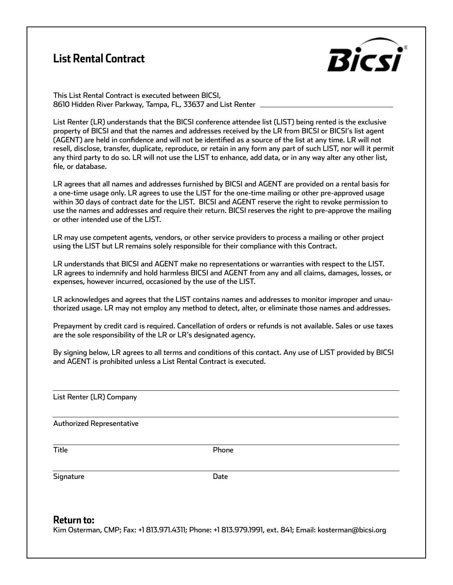## **List Rental Contract**



This List Rental Contract is executed between BICSI, 8610 Hidden River Parkway, Tampa, FL, 33637 and List Renter

List Renter (LR) understands that the BICSI conference attendee list (LIST) being rented is the exclusive property of BICSI and that the names and addresses received by the LR from BICSI or BICSI's list agent (AGENT) are held in confidence and will not be identified as a source of the list at any time. LR will not resell, disclose, transfer, duplicate, reproduce, or retain in any form any part of such LIST, nor will it permit any third party to do so. LR will not use the LIST to enhance, add data, or in any way alter any other list, file, or database.

LR agrees that all names and addresses furnished by BICSI and AGENT are provided on a rental basis for a one-time usage only. LR agrees to use the LIST for the one-time mailing or other pre-approved usage within 30 days of contract date for the LIST. BICSI and AGENT reserve the right to revoke permission to use the names and addresses and require their return. BICSI reserves the right to pre-approve the mailing or other intended use of the LIST.

LR may use competent agents, vendors, or other service providers to process a mailing or other project using the LIST but LR remains solely responsible for their compliance with this Contract.

LR understands that BICSI and AGENT make no representations or warranties with respect to the LIST. LR agrees to indemnify and hold harmless BICSI and AGENT from any and all claims, damages, losses, or expenses, however incurred, occasioned by the use of the LIST.

LR acknowledges and agrees that the LIST contains names and addresses to monitor improper and unauthorized usage. LR may not employ any method to detect, alter, or eliminate those names and addresses.

Prepayment by credit card is required. Cancellation of orders or refunds is not available. Sales or use taxes are the sole responsibility of the LR or LR's designated agency.

By signing below, LR agrees to all terms and conditions of this contact. Any use of LIST provided by BICSI and AGENT is prohibited unless a List Rental Contract is executed.

List Renter (LR) Company

Authorized Representative

 $\overline{a}$ 

 $\overline{a}$ 

 $\overline{\phantom{a}}$ 

 $\overline{a}$ 

Title **Phone** 

Signature Date Date

**Return to:**

Kim Osterman, CMP; Fax: +1 813.971.4311; Phone: +1 813.979.1991, ext. 841; Email: kosterman@bicsi.org